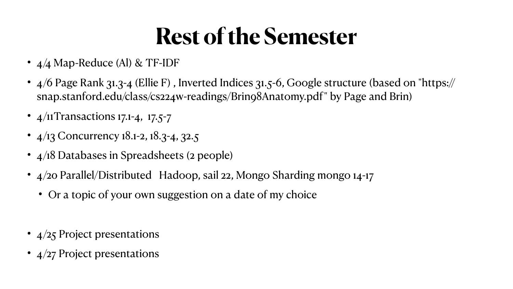## **Rest of the Semester**

- 4/4 Map-Reduce (Al) & TF-IDF
- snap.stanford.edu/class/cs224w-readings/Brin98Anatomy.pdf" by Page and Brin)
- $4/11$ Transactions 17.1-4, 17.5-7
- $4/13$  Concurrency 18.1-2, 18.3-4, 32.5
- 4/18 Databases in Spreadsheets (2 people)
- 4/20 Parallel/Distributed Hadoop, sail 22, Mongo Sharding mongo 14-17
	- Or a topic of your own suggestion on a date of my choice
- 4/25 Project presentations
- 4/27 Project presentations

• 4/6 Page Rank 31.3-4 (Ellie F), Inverted Indices 31.5-6, Google structure (based on "https://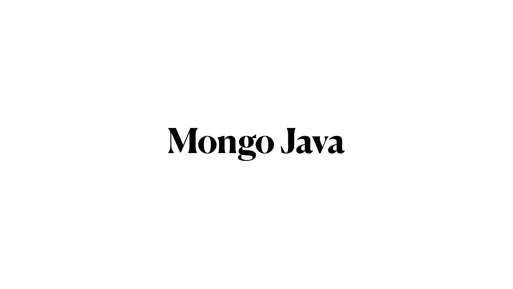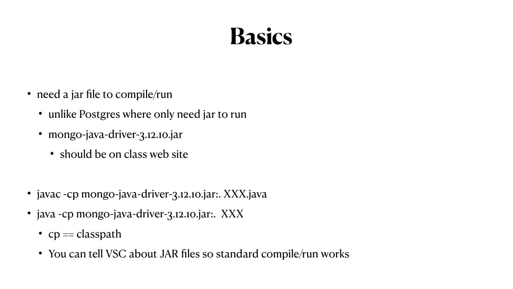

- need a jar file to compile/run
	- unlike Postgres where only need jar to run
	- mongo-java-driver-3.12.10.jar
		- should be on class web site
- javac -cp mongo-java-driver-3.12.10.jar:. XXX.java
- java -cp mongo-java-driver-3.12.10.jar:. XXX
	- $cp = classpath$
	- You can tell VSC about JAR files so standard compile/run works

### **Basics**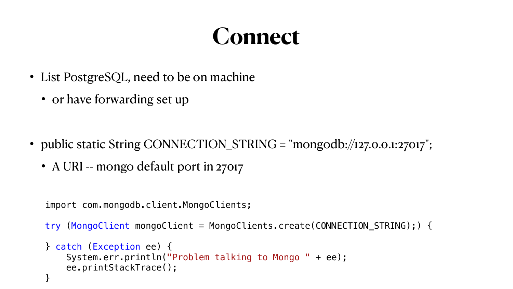### **Connect**

- List PostgreSQL, need to be on machine
	- or have forwarding set up

- public static String CONNECTION\_STRING = "mongodb://127.0.0.1:27017";
	- A URI -- mongo default port in 27017

```
 import com.mongodb.client.MongoClients;
```

```
 try (MongoClient mongoClient = MongoClients.create(CONNECTION_STRING);) {
```
- } catch (Exception ee) { System.err.println("Problem talking to Mongo " + ee); ee.printStackTrace();
- }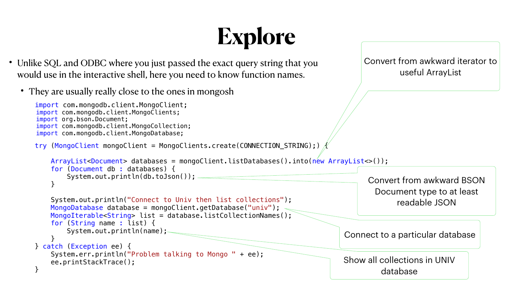## **Explore**

```
import com.mongodb.client.MongoClient;
        import com.mongodb.client.MongoClients;
         import org.bson.Document;
        import com.mongodb.client.MongoCollection;
         import com.mongodb.client.MongoDatabase;
        try (MongoClient mongoClient = MongoClients.create(CONNECTION_STRING);) {
            ArrayList<Document> databases = mongoClient.listDatabases().into(new ArrayList<>());
            for (Document db : databases) {
                System.out.println(db.toJson());
 }
            System.out.println("Connect to Univ then list collections");
            MongoDatabase database = mongoClient.getDatabase("univ");
            MongoIterable<String> list = database.listCollectionNames();
            for (String name : list) {
               System.out.println(name);
 }
        } catch (Exception ee) {
            System.err.println("Problem talking to Mongo " + ee);
            ee.printStackTrace();
 }
```
Convert from awkward iterator to useful ArrayList

Convert from awkward BSON Document type to at least readable JSON

Connect to a particular database

Show all collections in UNIV database



- Unlike SQL and ODBC where you just passed the exact query string that you would use in the interactive shell, here you need to know function names.
	- They are usually really close to the ones in mongosh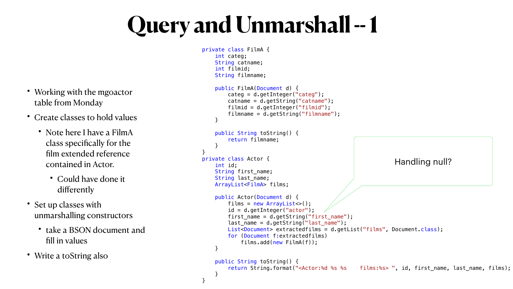| Working with the mgoactor<br>table from Monday                                                           |
|----------------------------------------------------------------------------------------------------------|
| Create classes to hold values                                                                            |
| Note here I have a FilmA<br>class specifically for the<br>film extended reference<br>contained in Actor. |
| • Could have done it<br>differently                                                                      |
| Set up classes with<br>unmarshalling constructors                                                        |
| take a BSON document and<br>fill in values                                                               |
| Write a toString also                                                                                    |

# Query and Unmarshall -- 1

 private class FilmA { int categ; String catname; int filmid; String filmname; } } } private class Actor { int id; } } }

```
 public FilmA(Document d) {
     categ = d.getInteger("categ");
    catname = d.getString("catname");
     filmid = d.getInteger("filmid");
    filmame = d.getString('filmname''); public String toString() {
     return filmname;
 String first_name;
 String last_name;
 ArrayList<FilmA> films;
 public Actor(Document d) {
    films = new ArrayList \ll ( );
     id = d.getInteger("actor");
     first_name = d.getString("first_name");
     last_name = d.getString("last_name");
    List<Document> extractedfilms = d.getList("films", Document.class);
     for (Document f:extractedfilms)
         films.add(new FilmA(f));
 public String toString() {
     return String.format("<Actor:%d %s %s films:%s> ", id, first_name, last_name, films);
                                                         Handling null?
```
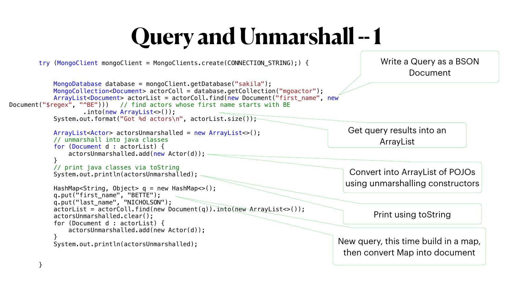```
 MongoDatabase database = mongoClient.getDatabase("sakila");
Document("$regex", "^BE"))) // find actors whose first name starts with BE
                    .into(new ArrayList<>()); 
           System.out.format("Got %d actors\n", actorList.size());
            ArrayList<Actor> actorsUnmarshalled = new ArrayList<>();
            // unmarshall into java classes
            for (Document d : actorList) {
                actorsUnmarshalled.add(new Actor(d));
 }
            // print java classes via toString
            System.out.println(actorsUnmarshalled);
            HashMap<String, Object> q = new HashMap<>();
 q.put("first_name", "BETTE");
 q.put("last_name", "NICHOLSON");
           actorList = actorColl.find(new Document(q)) .int@new ArrayList>();
            actorsUnmarshalled.clear();
            for (Document d : actorList) {
                actorsUnmarshalled.add(new Actor(d));
 }
           System.out.println(actorsUnmarshalled);
```
try (MongoClient mongoClient = MongoClients.create(CONNECTION\_STRING);) {

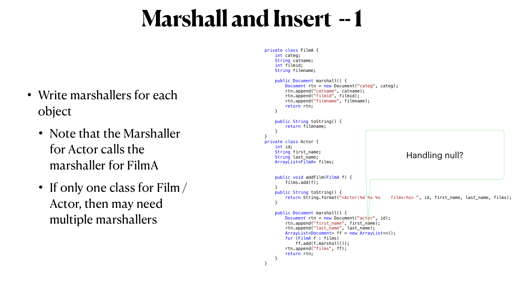### **Marshall and Insert -- 1**

- Write marshallers for each object
	- Note that the Marshaller for Actor calls the marshaller for FilmA
	- If only one class for Film / Actor, then may need multiple marshallers

```
 private class FilmA {
        int categ;
        String catname;
        int filmid;
        String filmname;
        public Document marshall() {
            Document rtn = new Document("categ", categ);
            rtn.append("catname", catname);
            rtn.append("filmid", filmid);
            rtn.append("filmname", filmname);
            return rtn;
 }
        public String toString() {
            return filmname;
 }
 }
    private class Actor {
        int id;
        String first_name;
        String last_name;
        ArrayList<FilmA> films;
        public void addFilm(FilmA f) {
            films.add(f);
 }
       public String toString() {<br>return String.format("<Actor:%d %s %s
                                                     films:%s> ", id, first_name, last_name, films);
 }
        public Document marshall() {
           Document rtn = new Document("actpr", id);
            rtn.append("first_name", first_name);
            rtn.append("last_name", last_name);
            ArrayList<Document> ff = new ArrayList<>();
             for (FilmA f : films) 
                ff.add(f.marshall());
            rtn.append("films", ff);
            return rtn;
 }
                                                            Handling null?
```

```
 }
```